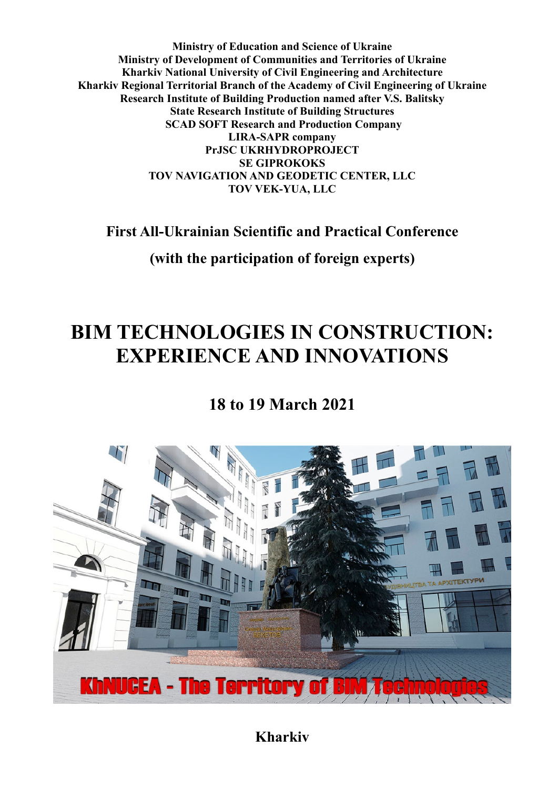**Ministry of Education and Science of Ukraine Ministry of Development of Communities and Territories of Ukraine Kharkiv National University of Civil Engineering and Architecture Kharkiv Regional Territorial Branch of the Academy of Civil Engineering of Ukraine Research Institute of Building Production named after V.S. Balitsky State Research Institute of Building Structures SCAD SOFT Research and Production Company LIRA-SAPR company PrJSC UKRHYDROPROJECT SE GIPROKOKS TOV NAVIGATION AND GEODETIC CENTER, LLC TOV VEK-YUA, LLC**

**First All-Ukrainian Scientific and Practical Conference**

**(with the participation of foreign experts)**

# **BIM TECHNOLOGIES IN CONSTRUCTION: EXPERIENCE AND INNOVATIONS**

**18 to 19 March 2021**



**Kharkiv**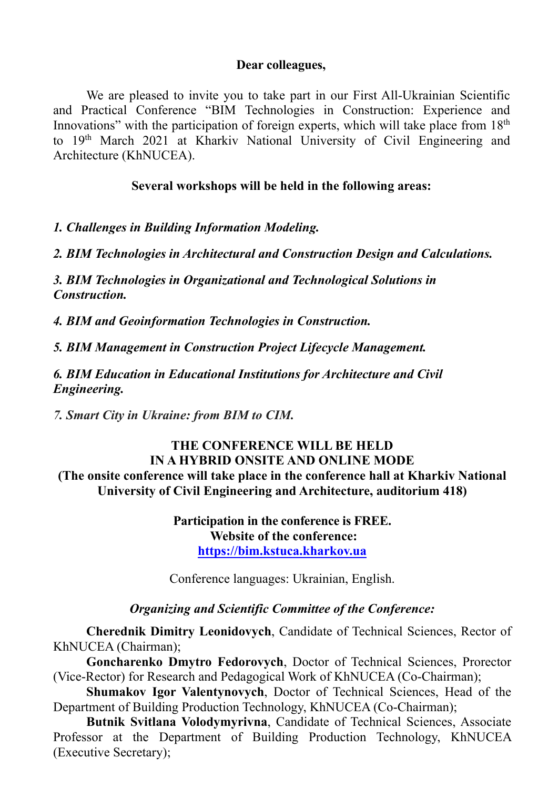#### **Dear colleagues,**

We are pleased to invite you to take part in our First All-Ukrainian Scientific and Practical Conference "BIM Technologies in Construction: Experience and Innovations" with the participation of foreign experts, which will take place from 18<sup>th</sup> to 19th March 2021 at Kharkiv National University of Civil Engineering and Architecture (KhNUCEA).

## **Several workshops will be held in the following areas:**

*1. Challenges in Building Information Modeling.*

*2. BIM Technologies in Architectural and Construction Design and Calculations.*

*3. BIM Technologies in Organizational and Technological Solutions in Construction.*

*4. BIM and Geoinformation Technologies in Construction.*

*5. BIM Management in Construction Project Lifecycle Management.*

*6. BIM Education in Educational Institutions for Architecture and Civil Engineering.*

*7. Smart City in Ukraine: from BIM to СIM.*

# **THE CONFERENCE WILL BE HELD IN A HYBRID ONSITE AND ONLINE MODE (The onsite conference will take place in the conference hall at Kharkiv National University of Civil Engineering and Architecture, auditorium 418)**

**Participation in the conference is FREE. Website of the conference: https://bim.kstuca.kharkov.ua**

Conference languages: Ukrainian, English.

# *Organizing and Scientific Committee of the Conference:*

**Cherednik Dimitry Leonidovych**, Candidate of Technical Sciences, Rector of KhNUCEA (Chairman);

**Goncharenko Dmytro Fedorovych**, Doctor of Technical Sciences, Prorector (Vice-Rector) for Research and Pedagogical Work of KhNUCEA (Co-Chairman);

**Shumakov Igor Valentynovych**, Doctor of Technical Sciences, Head of the Department of Building Production Technology, KhNUCEA (Co-Chairman);

**Butnik Svitlana Volodymyrivna**, Candidate of Technical Sciences, Associate Professor at the Department of Building Production Technology, KhNUCEA (Executive Secretary);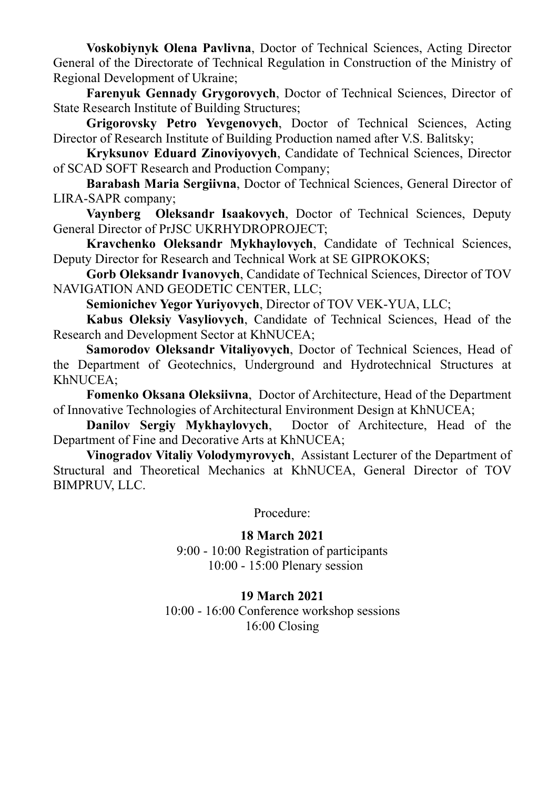**Voskobiynyk Olena Pavlivna**, Doctor of Technical Sciences, Acting Director General of the Directorate of Technical Regulation in Construction of the Ministry of Regional Development of Ukraine;

**Farenyuk Gennady Grygorovych**, Doctor of Technical Sciences, Director of State Research Institute of Building Structures;

**Grigorovsky Petro Yevgenovych**, Doctor of Technical Sciences, Acting Director of Research Institute of Building Production named after V.S. Balitsky;

**Kryksunov Eduard Zinoviyovych**, Candidate of Technical Sciences, Director of SCAD SOFT Research and Production Company;

**Barabash Maria Sergiivna**, Doctor of Technical Sciences, General Director of LIRA-SAPR company;

**Vaynberg Oleksandr Isaakovych**, Doctor of Technical Sciences, Deputy General Director of PrJSC UKRHYDROPROJECT;

**Kravchenko Oleksandr Mykhaylovych**, Candidate of Technical Sciences, Deputy Director for Research and Technical Work at SE GIPROKOKS;

**Gorb Oleksandr Ivanovych**, Candidate of Technical Sciences, Director of TOV NAVIGATION AND GEODETIC CENTER, LLC;

**Semionichev Yegor Yuriyovych**, Director of TOV VEK-YUA, LLC;

**Kabus Oleksiy Vasyliovych**, Candidate of Technical Sciences, Head of the Research and Development Sector at KhNUCEA;

**Samorodov Oleksandr Vitaliyovych**, Doctor of Technical Sciences, Head of the Department of Geotechnics, Underground and Hydrotechnical Structures at KhNUCEA;

**Fomenko Oksana Oleksiivna**, Doctor of Architecture, Head of the Department of Innovative Technologies of Architectural Environment Design at KhNUCEA;

**Danilov Sergiy Mykhaylovych**, Doctor of Architecture, Head of the Department of Fine and Decorative Arts at KhNUCEA;

**Vinogradov Vitaliy Volodymyrovych**, Assistant Lecturer of the Department of Structural and Theoretical Mechanics at KhNUCEA, General Director of TOV BIMPRUV, LLC.

Procedure:

#### **18 March 2021**

9:00 - 10:00 Registration of participants 10:00 - 15:00 Plenary session

#### **19 March 2021**

10:00 - 16:00 Conference workshop sessions 16:00 Closing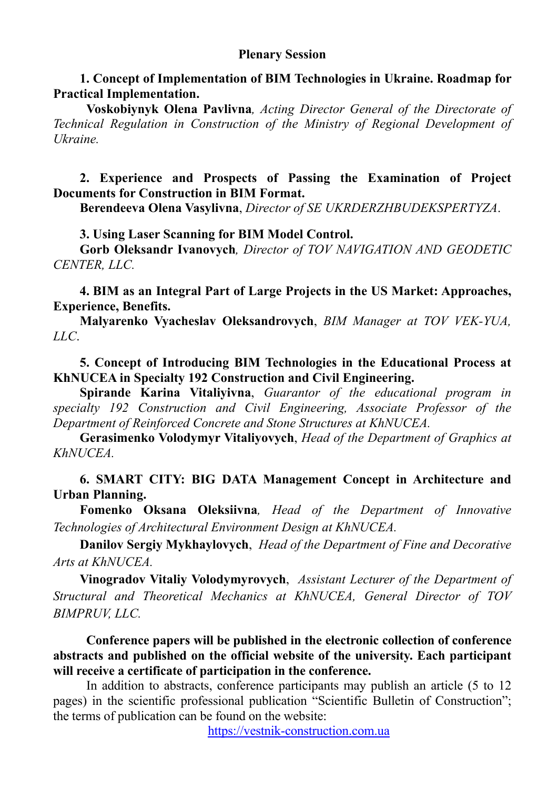#### **Plenary Session**

**1. Concept of Implementation of BIM Technologies in Ukraine. Roadmap for Practical Implementation.**

**Voskobiynyk Olena Pavlivna***, Acting Director General of the Directorate of Technical Regulation in Construction of the Ministry of Regional Development of Ukraine.*

**2. Experience and Prospects of Passing the Examination of Project Documents for Construction in BIM Format.** 

**Berendeeva Olena Vasylivna**, *Director of SE UKRDERZHBUDEKSPERTYZA*.

**3. Using Laser Scanning for BIM Model Control.**

**Gorb Oleksandr Ivanovych***, Director of TOV NAVIGATION AND GEODETIC CENTER, LLC.* 

**4. BIM as an Integral Part of Large Projects in the US Market: Approaches, Experience, Benefits.** 

**Malyarenko Vyacheslav Oleksandrovych**, *BIM Manager at TOV VEK-YUA, LLC*.

# **5. Concept of Introducing BIM Technologies in the Educational Process at KhNUCEA in Specialty 192 Construction and Civil Engineering.**

**Spirande Karina Vitaliyivna**, *Guarantor of the educational program in specialty 192 Construction and Civil Engineering, Associate Professor of the Department of Reinforced Concrete and Stone Structures at KhNUCEA.*

**Gerasimenko Volodymyr Vitaliyovych**, *Head of the Department of Graphics at KhNUCEA.* 

## **6. SMART CITY: BIG DATA Management Concept in Architecture and Urban Planning.**

**Fomenko Oksana Oleksiivna***, Head of the Department of Innovative Technologies of Architectural Environment Design at KhNUCEA.*

**Danilov Sergiy Mykhaylovych**,*Head of the Department of Fine and Decorative Arts at KhNUCEA.*

**Vinogradov Vitaliy Volodymyrovych**,*Assistant Lecturer of the Department of Structural and Theoretical Mechanics at KhNUCEA, General Director of TOV BIMPRUV, LLC.* 

**Conference papers will be published in the electronic collection of conference abstracts and published on the official website of the university. Each participant will receive a certificate of participation in the conference.**

In addition to abstracts, conference participants may publish an article (5 to 12 pages) in the scientific professional publication "Scientific Bulletin of Construction"; the terms of publication can be found on the website:

https://vestnik-construction.com.ua